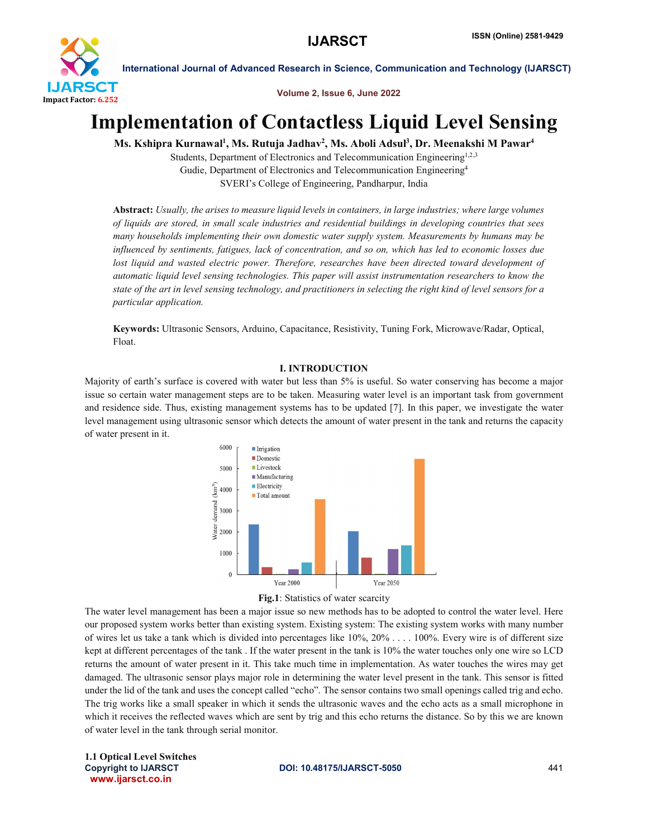

Volume 2, Issue 6, June 2022

# Implementation of Contactless Liquid Level Sensing

Ms. Kshipra Kurnawal<sup>1</sup>, Ms. Rutuja Jadhav<sup>2</sup>, Ms. Aboli Adsul<sup>3</sup>, Dr. Meenakshi M Pawar<sup>4</sup>

Students, Department of Electronics and Telecommunication Engineering<sup>1,2,3</sup> Gudie, Department of Electronics and Telecommunication Engineering4 SVERI's College of Engineering, Pandharpur, India

Abstract: *Usually, the arises to measure liquid levels in containers, in large industries; where large volumes of liquids are stored, in small scale industries and residential buildings in developing countries that sees many households implementing their own domestic water supply system. Measurements by humans may be influenced by sentiments, fatigues, lack of concentration, and so on, which has led to economic losses due*  lost liquid and wasted electric power. Therefore, researches have been directed toward development of *automatic liquid level sensing technologies. This paper will assist instrumentation researchers to know the state of the art in level sensing technology, and practitioners in selecting the right kind of level sensors for a particular application.*

Keywords: Ultrasonic Sensors, Arduino, Capacitance, Resistivity, Tuning Fork, Microwave/Radar, Optical, Float.

# I. INTRODUCTION

Majority of earth's surface is covered with water but less than 5% is useful. So water conserving has become a major issue so certain water management steps are to be taken. Measuring water level is an important task from government and residence side. Thus, existing management systems has to be updated [7]. In this paper, we investigate the water level management using ultrasonic sensor which detects the amount of water present in the tank and returns the capacity of water present in it.





The water level management has been a major issue so new methods has to be adopted to control the water level. Here our proposed system works better than existing system. Existing system: The existing system works with many number of wires let us take a tank which is divided into percentages like 10%, 20% . . . . 100%. Every wire is of different size kept at different percentages of the tank . If the water present in the tank is 10% the water touches only one wire so LCD returns the amount of water present in it. This take much time in implementation. As water touches the wires may get damaged. The ultrasonic sensor plays major role in determining the water level present in the tank. This sensor is fitted under the lid of the tank and uses the concept called "echo". The sensor contains two small openings called trig and echo. The trig works like a small speaker in which it sends the ultrasonic waves and the echo acts as a small microphone in which it receives the reflected waves which are sent by trig and this echo returns the distance. So by this we are known of water level in the tank through serial monitor.

 www.ijarsct.co.in 1.1 Optical Level Switches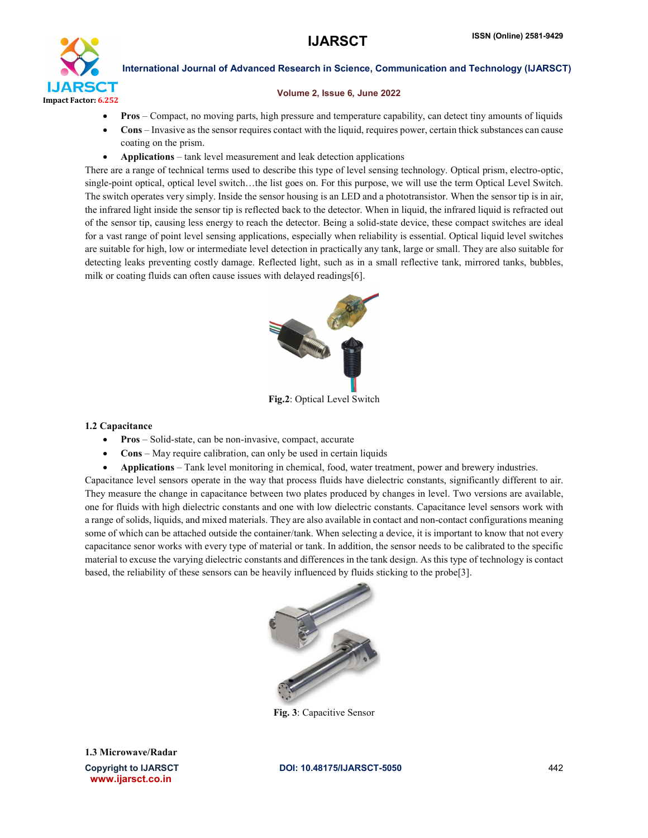

#### Volume 2, Issue 6, June 2022

- Pros Compact, no moving parts, high pressure and temperature capability, can detect tiny amounts of liquids
- Cons Invasive as the sensor requires contact with the liquid, requires power, certain thick substances can cause coating on the prism.
- Applications tank level measurement and leak detection applications

There are a range of technical terms used to describe this type of level sensing technology. Optical prism, electro-optic, single-point optical, optical level switch…the list goes on. For this purpose, we will use the term Optical Level Switch. The switch operates very simply. Inside the sensor housing is an LED and a phototransistor. When the sensor tip is in air, the infrared light inside the sensor tip is reflected back to the detector. When in liquid, the infrared liquid is refracted out of the sensor tip, causing less energy to reach the detector. Being a solid-state device, these compact switches are ideal for a vast range of point level sensing applications, especially when reliability is essential. Optical liquid level switches are suitable for high, low or intermediate level detection in practically any tank, large or small. They are also suitable for detecting leaks preventing costly damage. Reflected light, such as in a small reflective tank, mirrored tanks, bubbles, milk or coating fluids can often cause issues with delayed readings[6].



Fig.2: Optical Level Switch

#### 1.2 Capacitance

- Pros Solid-state, can be non-invasive, compact, accurate
- Cons May require calibration, can only be used in certain liquids
- Applications Tank level monitoring in chemical, food, water treatment, power and brewery industries.

Capacitance level sensors operate in the way that process fluids have dielectric constants, significantly different to air. They measure the change in capacitance between two plates produced by changes in level. Two versions are available, one for fluids with high dielectric constants and one with low dielectric constants. Capacitance level sensors work with a range of solids, liquids, and mixed materials. They are also available in contact and non-contact configurations meaning some of which can be attached outside the container/tank. When selecting a device, it is important to know that not every capacitance senor works with every type of material or tank. In addition, the sensor needs to be calibrated to the specific material to excuse the varying dielectric constants and differences in the tank design. As this type of technology is contact based, the reliability of these sensors can be heavily influenced by fluids sticking to the probe[3].



Fig. 3: Capacitive Sensor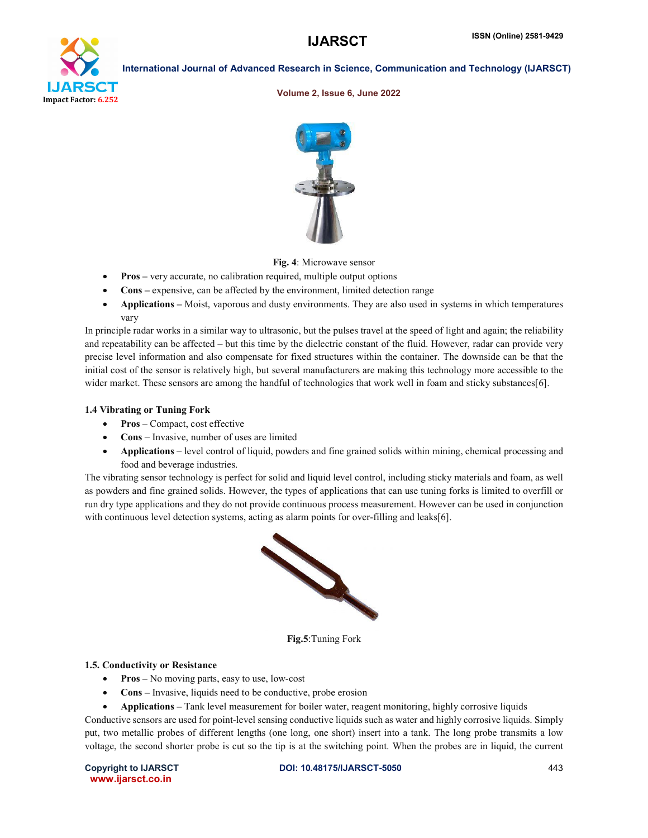

#### Volume 2, Issue 6, June 2022



Fig. 4: Microwave sensor

- Pros very accurate, no calibration required, multiple output options
- Cons expensive, can be affected by the environment, limited detection range
- Applications Moist, vaporous and dusty environments. They are also used in systems in which temperatures vary

In principle radar works in a similar way to ultrasonic, but the pulses travel at the speed of light and again; the reliability and repeatability can be affected – but this time by the dielectric constant of the fluid. However, radar can provide very precise level information and also compensate for fixed structures within the container. The downside can be that the initial cost of the sensor is relatively high, but several manufacturers are making this technology more accessible to the wider market. These sensors are among the handful of technologies that work well in foam and sticky substances[6].

#### 1.4 Vibrating or Tuning Fork

- Pros Compact, cost effective
- Cons Invasive, number of uses are limited
- Applications level control of liquid, powders and fine grained solids within mining, chemical processing and food and beverage industries.

The vibrating sensor technology is perfect for solid and liquid level control, including sticky materials and foam, as well as powders and fine grained solids. However, the types of applications that can use tuning forks is limited to overfill or run dry type applications and they do not provide continuous process measurement. However can be used in conjunction with continuous level detection systems, acting as alarm points for over-filling and leaks[6].



Fig.5:Tuning Fork

#### 1.5. Conductivity or Resistance

- Pros No moving parts, easy to use, low-cost
- Cons Invasive, liquids need to be conductive, probe erosion
- Applications Tank level measurement for boiler water, reagent monitoring, highly corrosive liquids

Conductive sensors are used for point-level sensing conductive liquids such as water and highly corrosive liquids. Simply put, two metallic probes of different lengths (one long, one short) insert into a tank. The long probe transmits a low voltage, the second shorter probe is cut so the tip is at the switching point. When the probes are in liquid, the current

www.ijarsct.co.in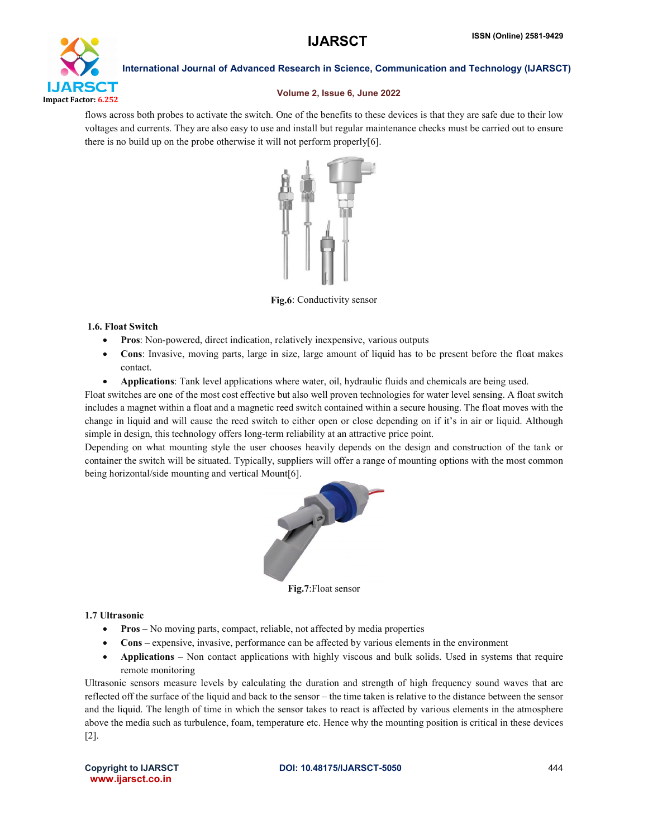

### Volume 2, Issue 6, June 2022

flows across both probes to activate the switch. One of the benefits to these devices is that they are safe due to their low voltages and currents. They are also easy to use and install but regular maintenance checks must be carried out to ensure there is no build up on the probe otherwise it will not perform properly[6].



Fig.6: Conductivity sensor

# 1.6. Float Switch

- Pros: Non-powered, direct indication, relatively inexpensive, various outputs
- Cons: Invasive, moving parts, large in size, large amount of liquid has to be present before the float makes contact.
- Applications: Tank level applications where water, oil, hydraulic fluids and chemicals are being used.

Float switches are one of the most cost effective but also well proven technologies for water level sensing. A float switch includes a magnet within a float and a magnetic reed switch contained within a secure housing. The float moves with the change in liquid and will cause the reed switch to either open or close depending on if it's in air or liquid. Although simple in design, this technology offers long-term reliability at an attractive price point.

Depending on what mounting style the user chooses heavily depends on the design and construction of the tank or container the switch will be situated. Typically, suppliers will offer a range of mounting options with the most common being horizontal/side mounting and vertical Mount[6].



Fig.7:Float sensor

# 1.7 Ultrasonic

- Pros No moving parts, compact, reliable, not affected by media properties
- Cons expensive, invasive, performance can be affected by various elements in the environment
- Applications Non contact applications with highly viscous and bulk solids. Used in systems that require remote monitoring

Ultrasonic sensors measure levels by calculating the duration and strength of high frequency sound waves that are reflected off the surface of the liquid and back to the sensor – the time taken is relative to the distance between the sensor and the liquid. The length of time in which the sensor takes to react is affected by various elements in the atmosphere above the media such as turbulence, foam, temperature etc. Hence why the mounting position is critical in these devices [2].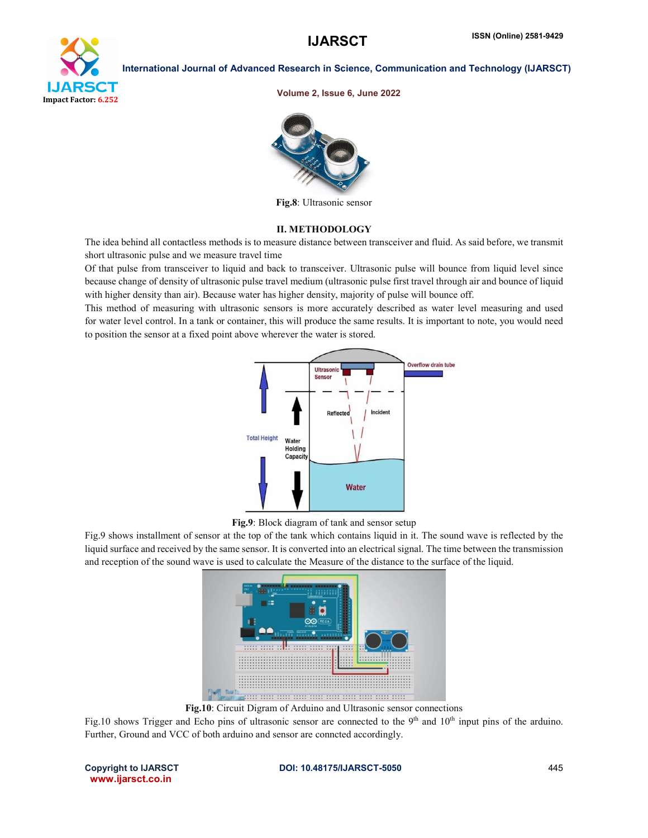

Volume 2, Issue 6, June 2022



Fig.8: Ultrasonic sensor

#### II. METHODOLOGY

The idea behind all contactless methods is to measure distance between transceiver and fluid. As said before, we transmit short ultrasonic pulse and we measure travel time

Of that pulse from transceiver to liquid and back to transceiver. Ultrasonic pulse will bounce from liquid level since because change of density of ultrasonic pulse travel medium (ultrasonic pulse first travel through air and bounce of liquid with higher density than air). Because water has higher density, majority of pulse will bounce off.

This method of measuring with ultrasonic sensors is more accurately described as water level measuring and used for water level control. In a tank or container, this will produce the same results. It is important to note, you would need to position the sensor at a fixed point above wherever the water is stored.



Fig.9: Block diagram of tank and sensor setup

Fig.9 shows installment of sensor at the top of the tank which contains liquid in it. The sound wave is reflected by the liquid surface and received by the same sensor. It is converted into an electrical signal. The time between the transmission and reception of the sound wave is used to calculate the Measure of the distance to the surface of the liquid.



Fig.10: Circuit Digram of Arduino and Ultrasonic sensor connections

Fig.10 shows Trigger and Echo pins of ultrasonic sensor are connected to the  $9<sup>th</sup>$  and  $10<sup>th</sup>$  input pins of the arduino. Further, Ground and VCC of both arduino and sensor are conncted accordingly.

www.ijarsct.co.in

Copyright to IJARSCT **DOI: 10.48175/IJARSCT-5050** 445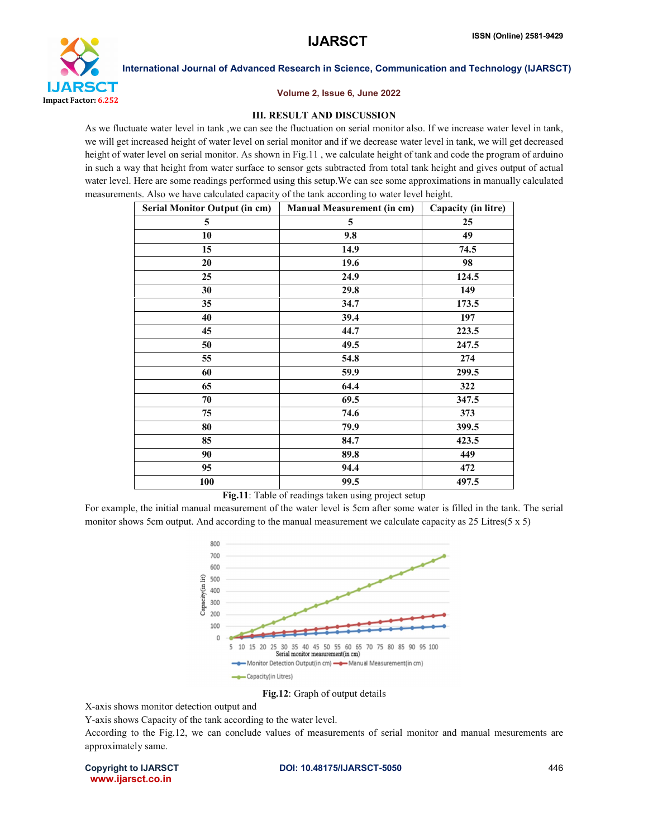

### Volume 2, Issue 6, June 2022

# III. RESULT AND DISCUSSION

As we fluctuate water level in tank, we can see the fluctuation on serial monitor also. If we increase water level in tank, we will get increased height of water level on serial monitor and if we decrease water level in tank, we will get decreased height of water level on serial monitor. As shown in Fig.11, we calculate height of tank and code the program of arduino in such a way that height from water surface to sensor gets subtracted from total tank height and gives output of actual water level. Here are some readings performed using this setup.We can see some approximations in manually calculated measurements. Also we have calculated capacity of the tank according to water level height.

| <b>Serial Monitor Output (in cm)</b> | <b>Manual Measurement (in cm)</b> | Capacity (in litre) |
|--------------------------------------|-----------------------------------|---------------------|
| 5                                    | 5                                 | 25                  |
| 10                                   | 9.8                               | 49                  |
| 15                                   | 14.9                              | 74.5                |
| 20                                   | 19.6                              | 98                  |
| 25                                   | 24.9                              | 124.5               |
| 30                                   | 29.8                              | 149                 |
| 35                                   | 34.7                              | 173.5               |
| 40                                   | 39.4                              | 197                 |
| 45                                   | 44.7                              | 223.5               |
| 50                                   | 49.5                              | 247.5               |
| 55                                   | 54.8                              | 274                 |
| 60                                   | 59.9                              | 299.5               |
| 65                                   | 64.4                              | 322                 |
| 70                                   | 69.5                              | 347.5               |
| 75                                   | 74.6                              | 373                 |
| 80                                   | 79.9                              | 399.5               |
| 85                                   | 84.7                              | 423.5               |
| 90                                   | 89.8                              | 449                 |
| 95                                   | 94.4                              | 472                 |
| 100                                  | 99.5                              | 497.5               |

Fig.11: Table of readings taken using project setup

For example, the initial manual measurement of the water level is 5cm after some water is filled in the tank. The serial monitor shows 5cm output. And according to the manual measurement we calculate capacity as 25 Litres(5 x 5)



Fig.12: Graph of output details

X-axis shows monitor detection output and

Y-axis shows Capacity of the tank according to the water level.

According to the Fig.12, we can conclude values of measurements of serial monitor and manual mesurements are approximately same.

www.ijarsct.co.in

Copyright to IJARSCT **DOI: 10.48175/IJARSCT-5050** 446